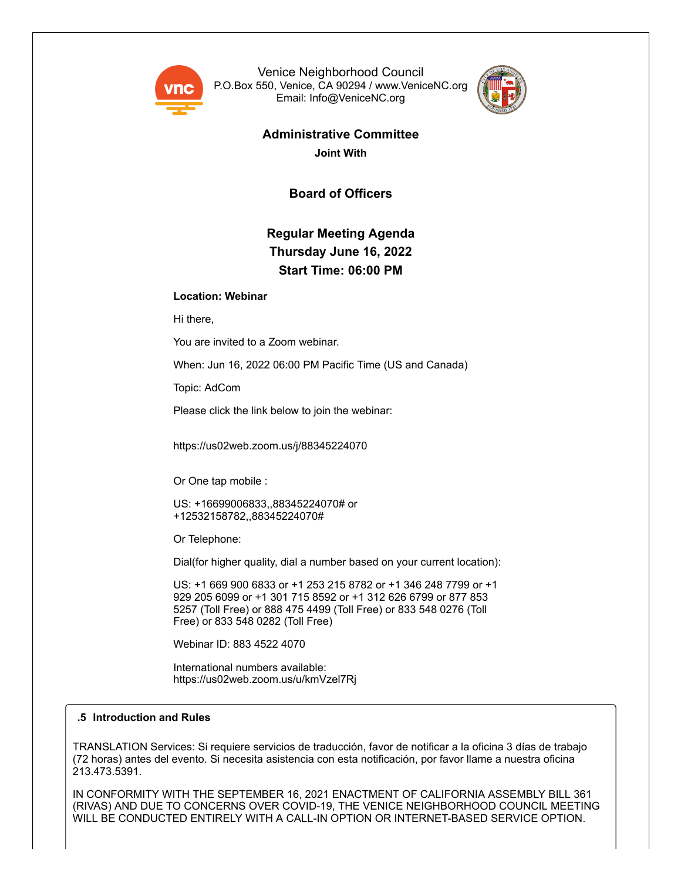

Venice Neighborhood Council P.O.Box 550, Venice, CA 90294 / www.VeniceNC.org Email: Info@VeniceNC.org



# **Administrative Committee**

**Joint With**

**Board of Officers**

## **Regular Meeting Agenda Thursday June 16, 2022 Start Time: 06:00 PM**

### **Location: Webinar**

Hi there,

You are invited to a Zoom webinar.

When: Jun 16, 2022 06:00 PM Pacific Time (US and Canada)

Topic: AdCom

Please click the link below to join the webinar:

https://us02web.zoom.us/j/88345224070

Or One tap mobile :

US: +16699006833,,88345224070# or +12532158782,,88345224070#

Or Telephone:

Dial(for higher quality, dial a number based on your current location):

US: +1 669 900 6833 or +1 253 215 8782 or +1 346 248 7799 or +1 929 205 6099 or +1 301 715 8592 or +1 312 626 6799 or 877 853 5257 (Toll Free) or 888 475 4499 (Toll Free) or 833 548 0276 (Toll Free) or 833 548 0282 (Toll Free)

Webinar ID: 883 4522 4070

International numbers available: https://us02web.zoom.us/u/kmVzel7Rj

#### **.5 Introduction and Rules**

TRANSLATION Services: Si requiere servicios de traducción, favor de notificar a la oficina 3 días de trabajo (72 horas) antes del evento. Si necesita asistencia con esta notificación, por favor llame a nuestra oficina 213.473.5391.

IN CONFORMITY WITH THE SEPTEMBER 16, 2021 ENACTMENT OF CALIFORNIA ASSEMBLY BILL 361 (RIVAS) AND DUE TO CONCERNS OVER COVID-19, THE VENICE NEIGHBORHOOD COUNCIL MEETING WILL BE CONDUCTED ENTIRELY WITH A CALL-IN OPTION OR INTERNET-BASED SERVICE OPTION.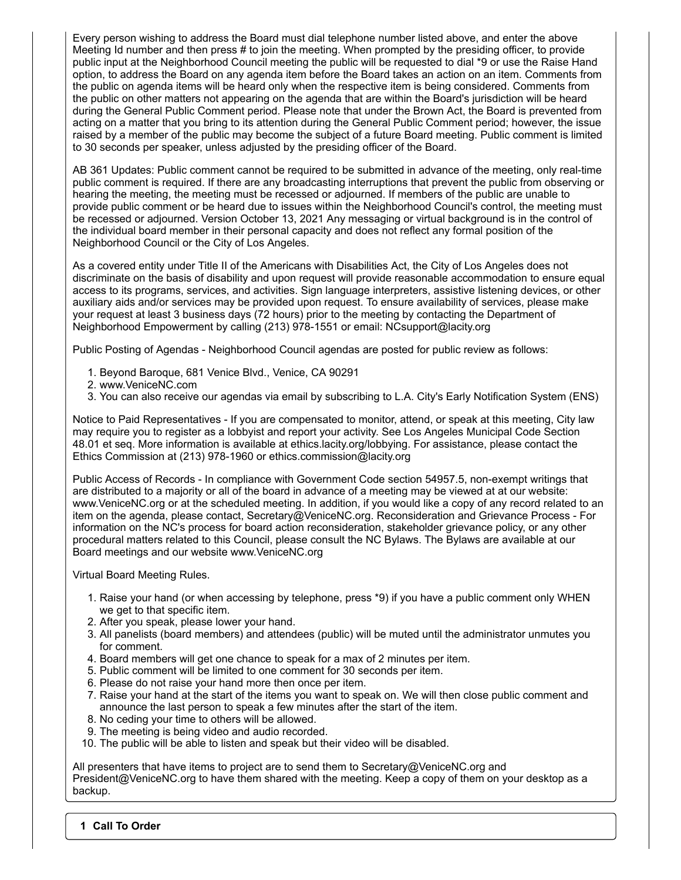Every person wishing to address the Board must dial telephone number listed above, and enter the above Meeting Id number and then press # to join the meeting. When prompted by the presiding officer, to provide public input at the Neighborhood Council meeting the public will be requested to dial \*9 or use the Raise Hand option, to address the Board on any agenda item before the Board takes an action on an item. Comments from the public on agenda items will be heard only when the respective item is being considered. Comments from the public on other matters not appearing on the agenda that are within the Board's jurisdiction will be heard during the General Public Comment period. Please note that under the Brown Act, the Board is prevented from acting on a matter that you bring to its attention during the General Public Comment period; however, the issue raised by a member of the public may become the subject of a future Board meeting. Public comment is limited to 30 seconds per speaker, unless adjusted by the presiding officer of the Board.

AB 361 Updates: Public comment cannot be required to be submitted in advance of the meeting, only real-time public comment is required. If there are any broadcasting interruptions that prevent the public from observing or hearing the meeting, the meeting must be recessed or adjourned. If members of the public are unable to provide public comment or be heard due to issues within the Neighborhood Council's control, the meeting must be recessed or adjourned. Version October 13, 2021 Any messaging or virtual background is in the control of the individual board member in their personal capacity and does not reflect any formal position of the Neighborhood Council or the City of Los Angeles.

As a covered entity under Title II of the Americans with Disabilities Act, the City of Los Angeles does not discriminate on the basis of disability and upon request will provide reasonable accommodation to ensure equal access to its programs, services, and activities. Sign language interpreters, assistive listening devices, or other auxiliary aids and/or services may be provided upon request. To ensure availability of services, please make your request at least 3 business days (72 hours) prior to the meeting by contacting the Department of Neighborhood Empowerment by calling (213) 978-1551 or email: NCsupport@lacity.org

Public Posting of Agendas - Neighborhood Council agendas are posted for public review as follows:

- 1. Beyond Baroque, 681 Venice Blvd., Venice, CA 90291
- 2. www.VeniceNC.com
- 3. You can also receive our agendas via email by subscribing to L.A. City's Early Notification System (ENS)

Notice to Paid Representatives - If you are compensated to monitor, attend, or speak at this meeting, City law may require you to register as a lobbyist and report your activity. See Los Angeles Municipal Code Section 48.01 et seq. More information is available at ethics.lacity.org/lobbying. For assistance, please contact the Ethics Commission at (213) 978-1960 or ethics.commission@lacity.org

Public Access of Records - In compliance with Government Code section 54957.5, non-exempt writings that are distributed to a majority or all of the board in advance of a meeting may be viewed at at our website: www.VeniceNC.org or at the scheduled meeting. In addition, if you would like a copy of any record related to an item on the agenda, please contact, Secretary@VeniceNC.org. Reconsideration and Grievance Process - For information on the NC's process for board action reconsideration, stakeholder grievance policy, or any other procedural matters related to this Council, please consult the NC Bylaws. The Bylaws are available at our Board meetings and our website www.VeniceNC.org

Virtual Board Meeting Rules.

- 1. Raise your hand (or when accessing by telephone, press \*9) if you have a public comment only WHEN we get to that specific item.
- 2. After you speak, please lower your hand.
- 3. All panelists (board members) and attendees (public) will be muted until the administrator unmutes you for comment.
- 4. Board members will get one chance to speak for a max of 2 minutes per item.
- 5. Public comment will be limited to one comment for 30 seconds per item.
- 6. Please do not raise your hand more then once per item.
- 7. Raise your hand at the start of the items you want to speak on. We will then close public comment and announce the last person to speak a few minutes after the start of the item.
- 8. No ceding your time to others will be allowed.
- 9. The meeting is being video and audio recorded.
- 10. The public will be able to listen and speak but their video will be disabled.

All presenters that have items to project are to send them to Secretary@VeniceNC.org and President@VeniceNC.org to have them shared with the meeting. Keep a copy of them on your desktop as a backup.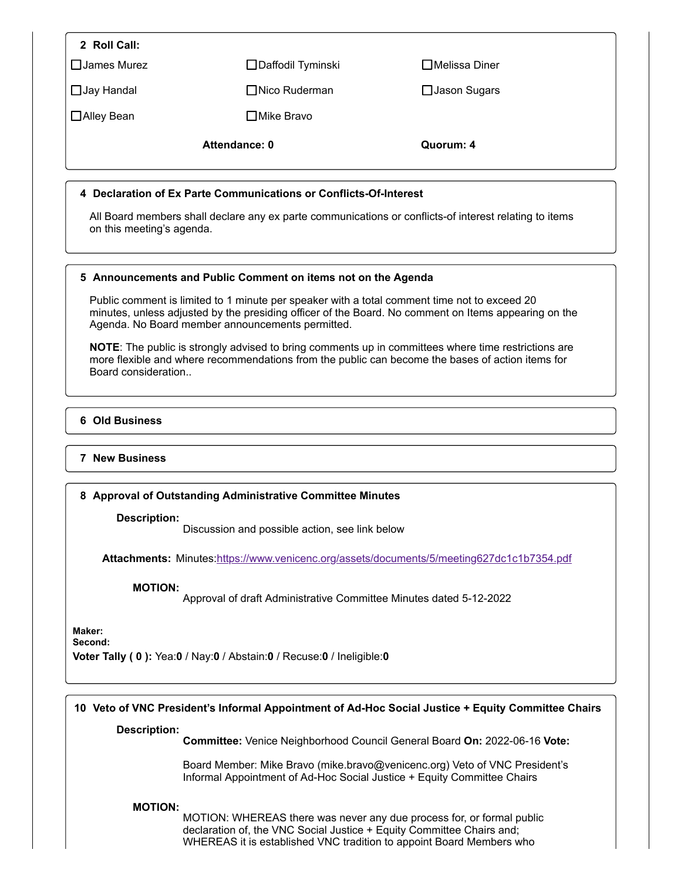| 2 Roll Call:                                                                              |                                                                                                                                                  |                                                                                                                                                                                                         |
|-------------------------------------------------------------------------------------------|--------------------------------------------------------------------------------------------------------------------------------------------------|---------------------------------------------------------------------------------------------------------------------------------------------------------------------------------------------------------|
| □ James Murez                                                                             | □ Daffodil Tyminski                                                                                                                              | □Melissa Diner                                                                                                                                                                                          |
| □ Jay Handal                                                                              | $\Box$ Nico Ruderman                                                                                                                             | $\Box$ Jason Sugars                                                                                                                                                                                     |
| □Alley Bean                                                                               | □ Mike Bravo                                                                                                                                     |                                                                                                                                                                                                         |
|                                                                                           | Attendance: 0                                                                                                                                    | Quorum: 4                                                                                                                                                                                               |
|                                                                                           | 4 Declaration of Ex Parte Communications or Conflicts-Of-Interest                                                                                |                                                                                                                                                                                                         |
| on this meeting's agenda.                                                                 |                                                                                                                                                  | All Board members shall declare any ex parte communications or conflicts-of interest relating to items                                                                                                  |
|                                                                                           | 5 Announcements and Public Comment on items not on the Agenda                                                                                    |                                                                                                                                                                                                         |
|                                                                                           | Public comment is limited to 1 minute per speaker with a total comment time not to exceed 20<br>Agenda. No Board member announcements permitted. | minutes, unless adjusted by the presiding officer of the Board. No comment on Items appearing on the                                                                                                    |
| Board consideration                                                                       |                                                                                                                                                  | NOTE: The public is strongly advised to bring comments up in committees where time restrictions are<br>more flexible and where recommendations from the public can become the bases of action items for |
| <b>6 Old Business</b>                                                                     |                                                                                                                                                  |                                                                                                                                                                                                         |
| <b>7 New Business</b>                                                                     |                                                                                                                                                  |                                                                                                                                                                                                         |
|                                                                                           | 8 Approval of Outstanding Administrative Committee Minutes                                                                                       |                                                                                                                                                                                                         |
| Description:                                                                              | Discussion and possible action, see link below                                                                                                   |                                                                                                                                                                                                         |
| Attachments: Minutes:https://www.venicenc.org/assets/documents/5/meeting627dc1c1b7354.pdf |                                                                                                                                                  |                                                                                                                                                                                                         |
| <b>MOTION:</b>                                                                            | Approval of draft Administrative Committee Minutes dated 5-12-2022                                                                               |                                                                                                                                                                                                         |
| Maker:<br>Second:                                                                         | Voter Tally (0): Yea:0 / Nay:0 / Abstain:0 / Recuse:0 / Ineligible:0                                                                             |                                                                                                                                                                                                         |
|                                                                                           |                                                                                                                                                  |                                                                                                                                                                                                         |
|                                                                                           |                                                                                                                                                  | 10 Veto of VNC President's Informal Appointment of Ad-Hoc Social Justice + Equity Committee Chairs                                                                                                      |
| <b>Description:</b>                                                                       | Committee: Venice Neighborhood Council General Board On: 2022-06-16 Vote:                                                                        |                                                                                                                                                                                                         |

Board Member: Mike Bravo (mike.bravo@venicenc.org) Veto of VNC President's Informal Appointment of Ad-Hoc Social Justice + Equity Committee Chairs

#### **MOTION:**

MOTION: WHEREAS there was never any due process for, or formal public declaration of, the VNC Social Justice + Equity Committee Chairs and; WHEREAS it is established VNC tradition to appoint Board Members who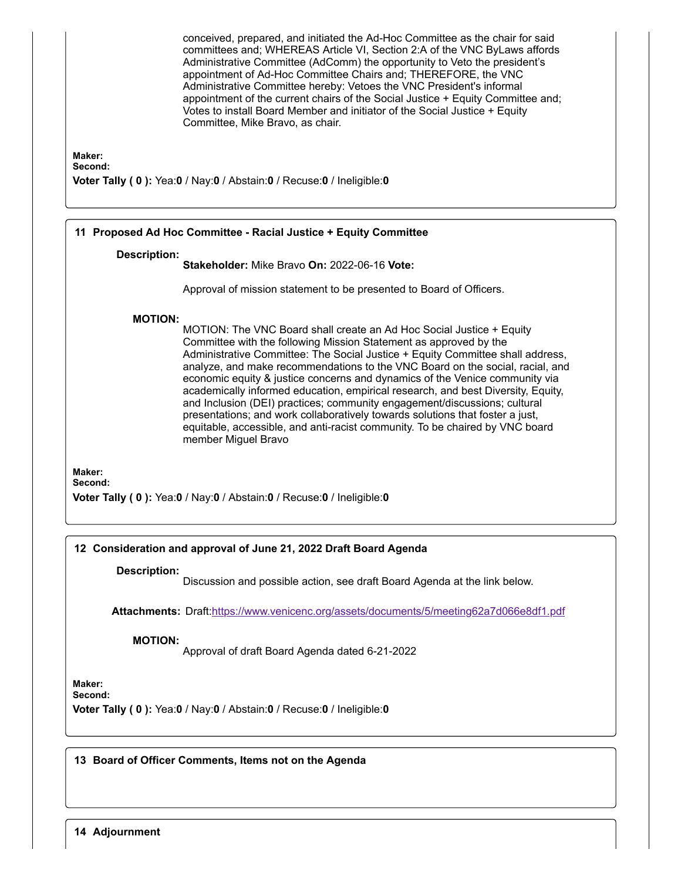conceived, prepared, and initiated the Ad-Hoc Committee as the chair for said committees and; WHEREAS Article VI, Section 2:A of the VNC ByLaws affords Administrative Committee (AdComm) the opportunity to Veto the president's appointment of Ad-Hoc Committee Chairs and; THEREFORE, the VNC Administrative Committee hereby: Vetoes the VNC President's informal appointment of the current chairs of the Social Justice + Equity Committee and; Votes to install Board Member and initiator of the Social Justice + Equity Committee, Mike Bravo, as chair.

**Maker:**

**Second:**

**Voter Tally ( 0 ):** Yea:**0** / Nay:**0** / Abstain:**0** / Recuse:**0** / Ineligible:**0**

| 11 Proposed Ad Hoc Committee - Racial Justice + Equity Committee                                                                                                                                                                                                                                                                                                                                                                                                                                                                                                                                                                                                                                                                                                       |  |  |
|------------------------------------------------------------------------------------------------------------------------------------------------------------------------------------------------------------------------------------------------------------------------------------------------------------------------------------------------------------------------------------------------------------------------------------------------------------------------------------------------------------------------------------------------------------------------------------------------------------------------------------------------------------------------------------------------------------------------------------------------------------------------|--|--|
| <b>Description:</b><br>Stakeholder: Mike Bravo On: 2022-06-16 Vote:                                                                                                                                                                                                                                                                                                                                                                                                                                                                                                                                                                                                                                                                                                    |  |  |
| Approval of mission statement to be presented to Board of Officers.                                                                                                                                                                                                                                                                                                                                                                                                                                                                                                                                                                                                                                                                                                    |  |  |
| <b>MOTION:</b><br>MOTION: The VNC Board shall create an Ad Hoc Social Justice + Equity<br>Committee with the following Mission Statement as approved by the<br>Administrative Committee: The Social Justice + Equity Committee shall address,<br>analyze, and make recommendations to the VNC Board on the social, racial, and<br>economic equity & justice concerns and dynamics of the Venice community via<br>academically informed education, empirical research, and best Diversity, Equity,<br>and Inclusion (DEI) practices; community engagement/discussions; cultural<br>presentations; and work collaboratively towards solutions that foster a just,<br>equitable, accessible, and anti-racist community. To be chaired by VNC board<br>member Miguel Bravo |  |  |
| Maker:                                                                                                                                                                                                                                                                                                                                                                                                                                                                                                                                                                                                                                                                                                                                                                 |  |  |

**Second:**

**Voter Tally ( 0 ):** Yea:**0** / Nay:**0** / Abstain:**0** / Recuse:**0** / Ineligible:**0**

#### **12 Consideration and approval of June 21, 2022 Draft Board Agenda**

#### **Description:**

Discussion and possible action, see draft Board Agenda at the link below.

**Attachments:** Draft:<https://www.venicenc.org/assets/documents/5/meeting62a7d066e8df1.pdf>

**MOTION:**

Approval of draft Board Agenda dated 6-21-2022

**Maker: Second:**

**Voter Tally ( 0 ):** Yea:**0** / Nay:**0** / Abstain:**0** / Recuse:**0** / Ineligible:**0**

**13 Board of Officer Comments, Items not on the Agenda**